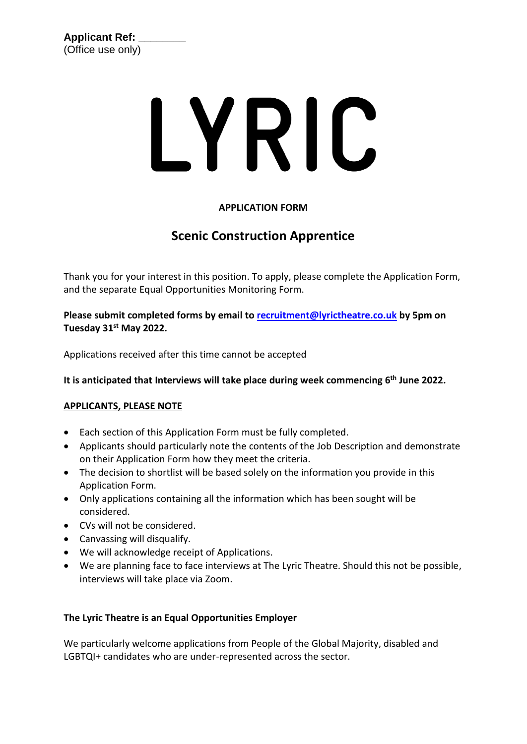# LYRIC

#### **APPLICATION FORM**

### **Scenic Construction Apprentice**

Thank you for your interest in this position. To apply, please complete the Application Form, and the separate Equal Opportunities Monitoring Form.

**Please submit completed forms by email to [recruitment@lyrictheatre.co.uk](mailto:recruitment@lyrictheatre.co.uk) by 5pm on Tuesday 31st May 2022.** 

Applications received after this time cannot be accepted

**It is anticipated that Interviews will take place during week commencing 6 th June 2022.**

#### **APPLICANTS, PLEASE NOTE**

- Each section of this Application Form must be fully completed.
- Applicants should particularly note the contents of the Job Description and demonstrate on their Application Form how they meet the criteria.
- The decision to shortlist will be based solely on the information you provide in this Application Form.
- Only applications containing all the information which has been sought will be considered.
- CVs will not be considered.
- Canvassing will disqualify.
- We will acknowledge receipt of Applications.
- We are planning face to face interviews at The Lyric Theatre. Should this not be possible, interviews will take place via Zoom.

#### **The Lyric Theatre is an Equal Opportunities Employer**

We particularly welcome applications from People of the Global Majority, disabled and LGBTQI+ candidates who are under-represented across the sector.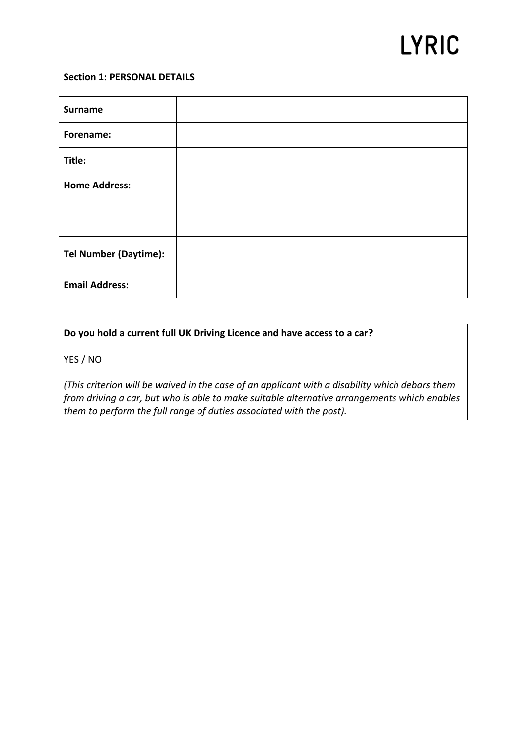## **LYRIC**

#### **Section 1: PERSONAL DETAILS**

| <b>Surname</b>               |  |
|------------------------------|--|
| Forename:                    |  |
| Title:                       |  |
| <b>Home Address:</b>         |  |
|                              |  |
|                              |  |
| <b>Tel Number (Daytime):</b> |  |
| <b>Email Address:</b>        |  |

#### **Do you hold a current full UK Driving Licence and have access to a car?**

YES / NO

*(This criterion will be waived in the case of an applicant with a disability which debars them from driving a car, but who is able to make suitable alternative arrangements which enables them to perform the full range of duties associated with the post).*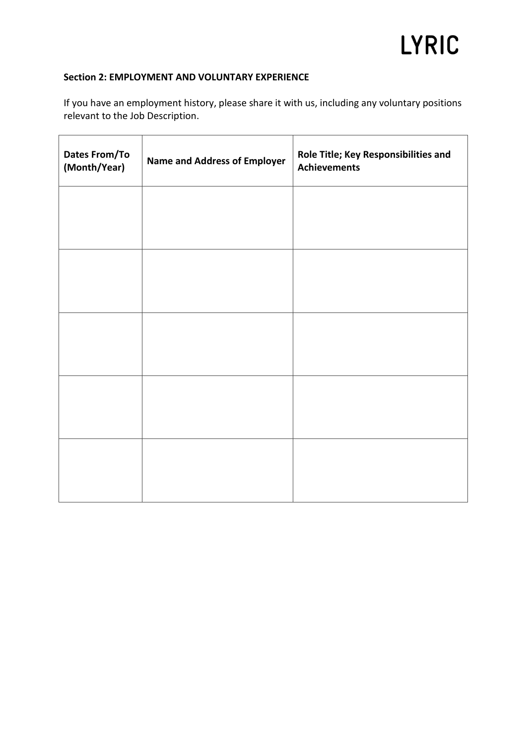#### **Section 2: EMPLOYMENT AND VOLUNTARY EXPERIENCE**

If you have an employment history, please share it with us, including any voluntary positions relevant to the Job Description.

| <b>Dates From/To</b><br>(Month/Year) | <b>Name and Address of Employer</b> | Role Title; Key Responsibilities and<br><b>Achievements</b> |  |
|--------------------------------------|-------------------------------------|-------------------------------------------------------------|--|
|                                      |                                     |                                                             |  |
|                                      |                                     |                                                             |  |
|                                      |                                     |                                                             |  |
|                                      |                                     |                                                             |  |
|                                      |                                     |                                                             |  |
|                                      |                                     |                                                             |  |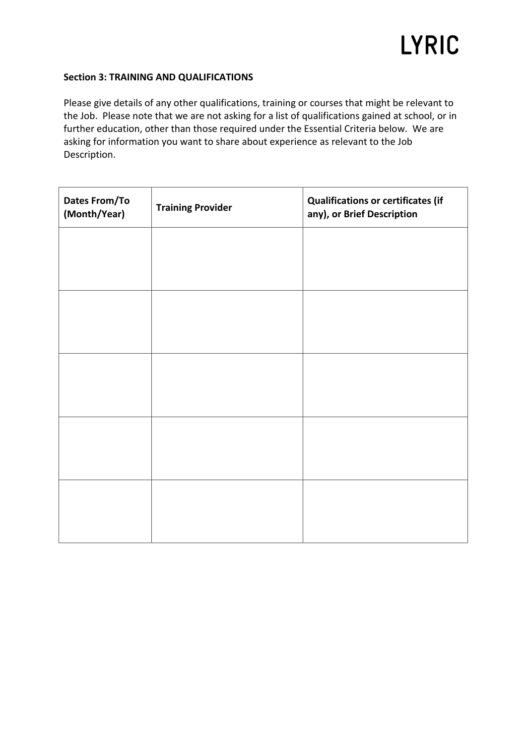#### **Section 3: TRAINING AND QUALIFICATIONS**

Please give details of any other qualifications, training or courses that might be relevant to the Job. Please note that we are not asking for a list of qualifications gained at school, or in further education, other than those required under the Essential Criteria below. We are asking for information you want to share about experience as relevant to the Job Description.

| <b>Dates From/To</b><br>(Month/Year) | <b>Training Provider</b> | <b>Qualifications or certificates (if</b><br>any), or Brief Description |  |
|--------------------------------------|--------------------------|-------------------------------------------------------------------------|--|
|                                      |                          |                                                                         |  |
|                                      |                          |                                                                         |  |
|                                      |                          |                                                                         |  |
|                                      |                          |                                                                         |  |
|                                      |                          |                                                                         |  |
|                                      |                          |                                                                         |  |
|                                      |                          |                                                                         |  |
|                                      |                          |                                                                         |  |
|                                      |                          |                                                                         |  |
|                                      |                          |                                                                         |  |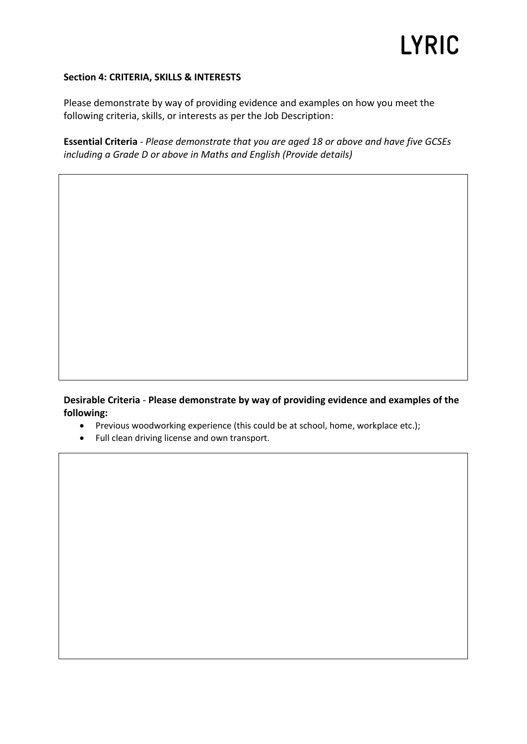#### **Section 4: CRITERIA, SKILLS & INTERESTS**

Please demonstrate by way of providing evidence and examples on how you meet the following criteria, skills, or interests as per the Job Description:

**Essential Criteria** *- Please demonstrate that you are aged 18 or above and have five GCSEs including a Grade D or above in Maths and English (Provide details)*

**Desirable Criteria** *-* **Please demonstrate by way of providing evidence and examples of the following:**

- Previous woodworking experience (this could be at school, home, workplace etc.);
- Full clean driving license and own transport.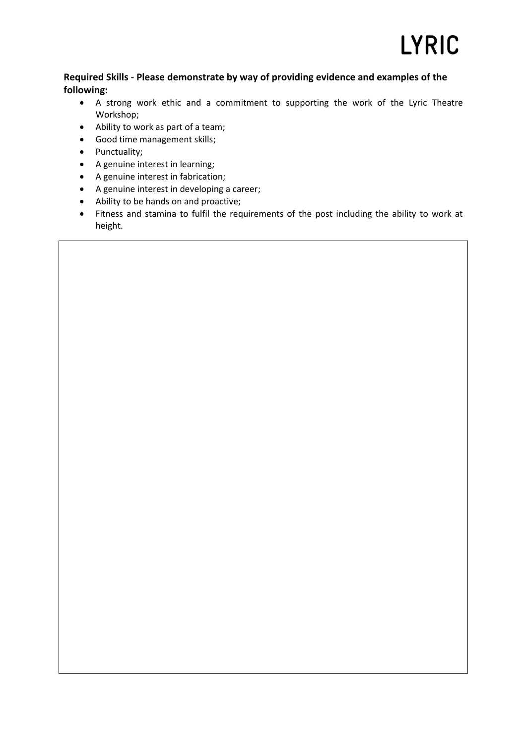#### **Required Skills** *-* **Please demonstrate by way of providing evidence and examples of the following:**

- A strong work ethic and a commitment to supporting the work of the Lyric Theatre Workshop;
- Ability to work as part of a team;
- Good time management skills;
- Punctuality;
- A genuine interest in learning;
- A genuine interest in fabrication;
- A genuine interest in developing a career;
- Ability to be hands on and proactive;
- Fitness and stamina to fulfil the requirements of the post including the ability to work at height.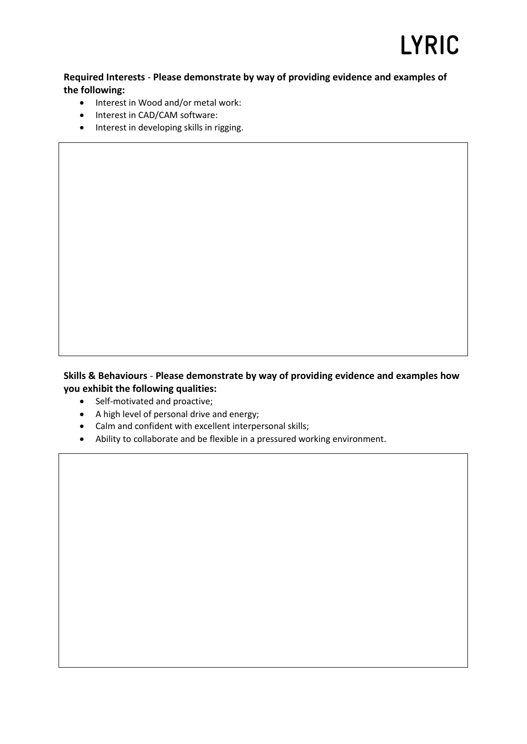## LYRIC

#### **Required Interests** *-* **Please demonstrate by way of providing evidence and examples of the following:**

- Interest in Wood and/or metal work:
- Interest in CAD/CAM software:
- Interest in developing skills in rigging.

#### **Skills & Behaviours** *-* **Please demonstrate by way of providing evidence and examples how you exhibit the following qualities:**

- Self-motivated and proactive;
- A high level of personal drive and energy;
- Calm and confident with excellent interpersonal skills;
- Ability to collaborate and be flexible in a pressured working environment.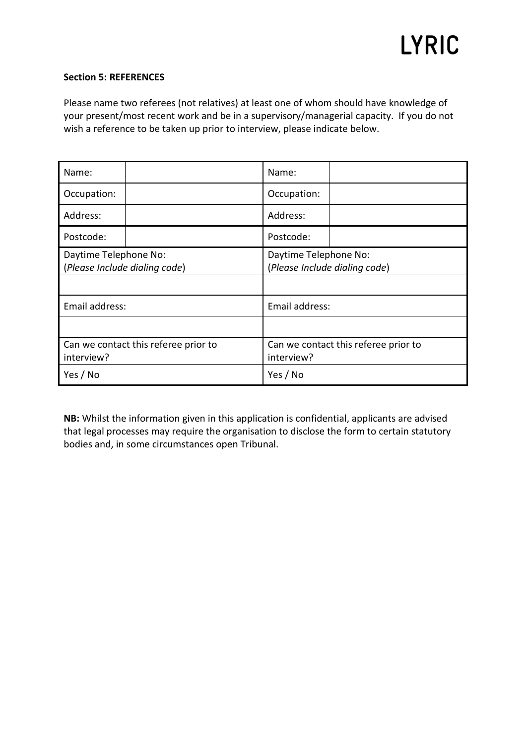#### **Section 5: REFERENCES**

Please name two referees (not relatives) at least one of whom should have knowledge of your present/most recent work and be in a supervisory/managerial capacity. If you do not wish a reference to be taken up prior to interview, please indicate below.

| Name:                                                  |  | Name:                                                  |  |
|--------------------------------------------------------|--|--------------------------------------------------------|--|
| Occupation:                                            |  | Occupation:                                            |  |
| Address:                                               |  | Address:                                               |  |
| Postcode:                                              |  | Postcode:                                              |  |
| Daytime Telephone No:<br>(Please Include dialing code) |  | Daytime Telephone No:<br>(Please Include dialing code) |  |
| Email address:                                         |  | Email address:                                         |  |
|                                                        |  |                                                        |  |
| Can we contact this referee prior to<br>interview?     |  | Can we contact this referee prior to<br>interview?     |  |
| Yes / No                                               |  | Yes / No                                               |  |

**NB:** Whilst the information given in this application is confidential, applicants are advised that legal processes may require the organisation to disclose the form to certain statutory bodies and, in some circumstances open Tribunal.